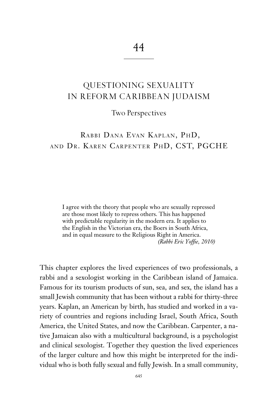# Questioning Sexuality in Reform Caribbean Judaism

Two Perspectives

## RABBI DANA EVAN KAPLAN, PHD, AND DR. KAREN CARPENTER PHD, CST, PGCHE

I agree with the theory that people who are sexually repressed are those most likely to repress others. This has happened with predictable regularity in the modern era. It applies to the English in the Victorian era, the Boers in South Africa, and in equal measure to the Religious Right in America. *(Rabbi Eric Yoffie, 2010)*

This chapter explores the lived experiences of two professionals, a rabbi and a sexologist working in the Caribbean island of Jamaica. Famous for its tourism products of sun, sea, and sex, the island has a small Jewish community that has been without a rabbi for thirty-three years. Kaplan, an American by birth, has studied and worked in a variety of countries and regions including Israel, South Africa, South America, the United States, and now the Caribbean. Carpenter, a native Jamaican also with a multicultural background, is a psychologist and clinical sexologist. Together they question the lived experiences of the larger culture and how this might be interpreted for the individual who is both fully sexual and fully Jewish. In a small community,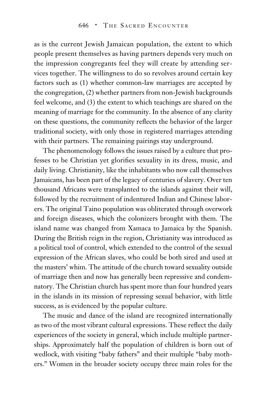as is the current Jewish Jamaican population, the extent to which people present themselves as having partners depends very much on the impression congregants feel they will create by attending services together. The willingness to do so revolves around certain key factors such as (1) whether common-law marriages are accepted by the congregation, (2) whether partners from non-Jewish backgrounds feel welcome, and (3) the extent to which teachings are shared on the meaning of marriage for the community. In the absence of any clarity on these questions, the community reflects the behavior of the larger traditional society, with only those in registered marriages attending with their partners. The remaining pairings stay underground.

The phenomenology follows the issues raised by a culture that professes to be Christian yet glorifies sexuality in its dress, music, and daily living. Christianity, like the inhabitants who now call themselves Jamaicans, has been part of the legacy of centuries of slavery. Over ten thousand Africans were transplanted to the islands against their will, followed by the recruitment of indentured Indian and Chinese laborers. The original Taino population was obliterated through overwork and foreign diseases, which the colonizers brought with them. The island name was changed from Xamaca to Jamaica by the Spanish. During the British reign in the region, Christianity was introduced as a political tool of control, which extended to the control of the sexual expression of the African slaves, who could be both sired and used at the masters' whim. The attitude of the church toward sexuality outside of marriage then and now has generally been repressive and condemnatory. The Christian church has spent more than four hundred years in the islands in its mission of repressing sexual behavior, with little success, as is evidenced by the popular culture.

The music and dance of the island are recognized internationally as two of the most vibrant cultural expressions. These reflect the daily experiences of the society in general, which include multiple partnerships. Approximately half the population of children is born out of wedlock, with visiting "baby fathers" and their multiple "baby mothers." Women in the broader society occupy three main roles for the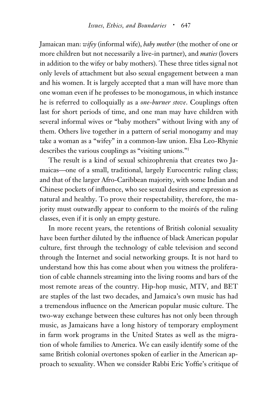Jamaican man: *wifey* (informal wife), *baby mother* (the mother of one or more children but not necessarily a live-in partner), and *maties* (lovers in addition to the wifey or baby mothers). These three titles signal not only levels of attachment but also sexual engagement between a man and his women. It is largely accepted that a man will have more than one woman even if he professes to be monogamous, in which instance he is referred to colloquially as a *one-burner stove*. Couplings often last for short periods of time, and one man may have children with several informal wives or "baby mothers" without living with any of them. Others live together in a pattern of serial monogamy and may take a woman as a "wifey" in a common-law union. Elsa Leo-Rhynie describes the various couplings as "visiting unions."1

The result is a kind of sexual schizophrenia that creates two Jamaicas—one of a small, traditional, largely Eurocentric ruling class; and that of the larger Afro-Caribbean majority, with some Indian and Chinese pockets of influence, who see sexual desires and expression as natural and healthy. To prove their respectability, therefore, the majority must outwardly appear to conform to the moirés of the ruling classes, even if it is only an empty gesture.

In more recent years, the retentions of British colonial sexuality have been further diluted by the influence of black American popular culture, first through the technology of cable television and second through the Internet and social networking groups. It is not hard to understand how this has come about when you witness the proliferation of cable channels streaming into the living rooms and bars of the most remote areas of the country. Hip-hop music, MTV, and BET are staples of the last two decades, and Jamaica's own music has had a tremendous influence on the American popular music culture. The two-way exchange between these cultures has not only been through music, as Jamaicans have a long history of temporary employment in farm work programs in the United States as well as the migration of whole families to America. We can easily identify some of the same British colonial overtones spoken of earlier in the American approach to sexuality. When we consider Rabbi Eric Yoffie's critique of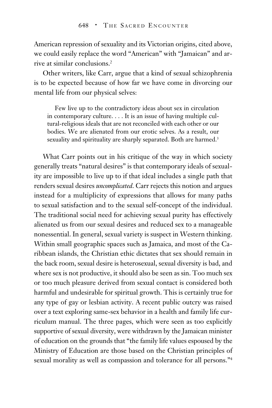American repression of sexuality and its Victorian origins, cited above, we could easily replace the word "American" with "Jamaican" and arrive at similar conclusions.2

Other writers, like Carr, argue that a kind of sexual schizophrenia is to be expected because of how far we have come in divorcing our mental life from our physical selves:

Few live up to the contradictory ideas about sex in circulation in contemporary culture. . . . It is an issue of having multiple cultural-religious ideals that are not reconciled with each other or our bodies. We are alienated from our erotic selves. As a result, our sexuality and spirituality are sharply separated. Both are harmed.<sup>3</sup>

What Carr points out in his critique of the way in which society generally treats "natural desires" is that contemporary ideals of sexuality are impossible to live up to if that ideal includes a single path that renders sexual desires *uncomplicated*. Carr rejects this notion and argues instead for a multiplicity of expressions that allows for many paths to sexual satisfaction and to the sexual self-concept of the individual. The traditional social need for achieving sexual purity has effectively alienated us from our sexual desires and reduced sex to a manageable nonessential. In general, sexual variety is suspect in Western thinking. Within small geographic spaces such as Jamaica, and most of the Caribbean islands, the Christian ethic dictates that sex should remain in the back room, sexual desire is heterosexual, sexual diversity is bad, and where sex is not productive, it should also be seen as sin. Too much sex or too much pleasure derived from sexual contact is considered both harmful and undesirable for spiritual growth. This is certainly true for any type of gay or lesbian activity. A recent public outcry was raised over a text exploring same-sex behavior in a health and family life curriculum manual. The three pages, which were seen as too explicitly supportive of sexual diversity, were withdrawn by the Jamaican minister of education on the grounds that "the family life values espoused by the Ministry of Education are those based on the Christian principles of sexual morality as well as compassion and tolerance for all persons."4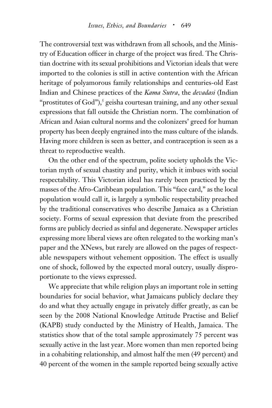The controversial text was withdrawn from all schools, and the Ministry of Education officer in charge of the project was fired. The Christian doctrine with its sexual prohibitions and Victorian ideals that were imported to the colonies is still in active contention with the African heritage of polyamorous family relationships and centuries-old East Indian and Chinese practices of the *Kama Sutra*, the *devadasi* (Indian "prostitutes of  $God$ "), $\frac{s}{s}$  geisha courtesan training, and any other sexual expressions that fall outside the Christian norm. The combination of African and Asian cultural norms and the colonizers' greed for human property has been deeply engrained into the mass culture of the islands. Having more children is seen as better, and contraception is seen as a threat to reproductive wealth.

On the other end of the spectrum, polite society upholds the Victorian myth of sexual chastity and purity, which it imbues with social respectability. This Victorian ideal has rarely been practiced by the masses of the Afro-Caribbean population. This "face card," as the local population would call it, is largely a symbolic respectability preached by the traditional conservatives who describe Jamaica as a Christian society. Forms of sexual expression that deviate from the prescribed forms are publicly decried as sinful and degenerate. Newspaper articles expressing more liberal views are often relegated to the working man's paper and the XNews, but rarely are allowed on the pages of respectable newspapers without vehement opposition. The effect is usually one of shock, followed by the expected moral outcry, usually disproportionate to the views expressed.

We appreciate that while religion plays an important role in setting boundaries for social behavior, what Jamaicans publicly declare they do and what they actually engage in privately differ greatly, as can be seen by the 2008 National Knowledge Attitude Practise and Belief (KAPB) study conducted by the Ministry of Health, Jamaica. The statistics show that of the total sample approximately 75 percent was sexually active in the last year. More women than men reported being in a cohabiting relationship, and almost half the men (49 percent) and 40 percent of the women in the sample reported being sexually active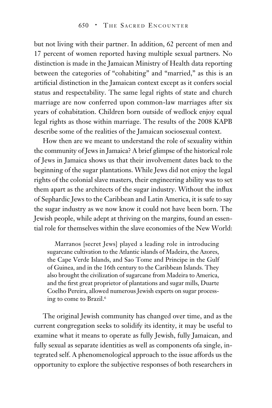but not living with their partner. In addition, 62 percent of men and 17 percent of women reported having multiple sexual partners. No distinction is made in the Jamaican Ministry of Health data reporting between the categories of "cohabiting" and "married," as this is an artificial distinction in the Jamaican context except as it confers social status and respectability. The same legal rights of state and church marriage are now conferred upon common-law marriages after six years of cohabitation. Children born outside of wedlock enjoy equal legal rights as those within marriage. The results of the 2008 KAPB describe some of the realities of the Jamaican sociosexual context.

How then are we meant to understand the role of sexuality within the community of Jews in Jamaica? A brief glimpse of the historical role of Jews in Jamaica shows us that their involvement dates back to the beginning of the sugar plantations. While Jews did not enjoy the legal rights of the colonial slave masters, their engineering ability was to set them apart as the architects of the sugar industry. Without the influx of Sephardic Jews to the Caribbean and Latin America, it is safe to say the sugar industry as we now know it could not have been born. The Jewish people, while adept at thriving on the margins, found an essential role for themselves within the slave economies of the New World:

Marranos [secret Jews] played a leading role in introducing sugarcane cultivation to the Atlantic islands of Madeira, the Azores, the Cape Verde Islands, and Sao Tome and Principe in the Gulf of Guinea, and in the 16th century to the Caribbean Islands. They also brought the civilization of sugarcane from Madeira to America, and the first great proprietor of plantations and sugar mills, Duarte Coelho Pereira, allowed numerous Jewish experts on sugar processing to come to Brazil.<sup>6</sup>

The original Jewish community has changed over time, and as the current congregation seeks to solidify its identity, it may be useful to examine what it means to operate as fully Jewish, fully Jamaican, and fully sexual as separate identities as well as components ofa single, integrated self. A phenomenological approach to the issue affords us the opportunity to explore the subjective responses of both researchers in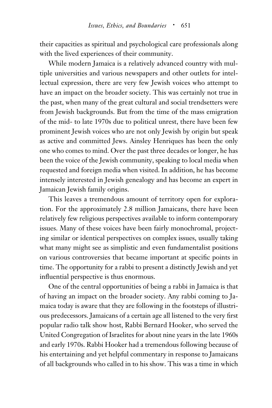their capacities as spiritual and psychological care professionals along with the lived experiences of their community.

While modern Jamaica is a relatively advanced country with multiple universities and various newspapers and other outlets for intellectual expression, there are very few Jewish voices who attempt to have an impact on the broader society. This was certainly not true in the past, when many of the great cultural and social trendsetters were from Jewish backgrounds. But from the time of the mass emigration of the mid- to late 1970s due to political unrest, there have been few prominent Jewish voices who are not only Jewish by origin but speak as active and committed Jews. Ainsley Henriques has been the only one who comes to mind. Over the past three decades or longer, he has been the voice of the Jewish community, speaking to local media when requested and foreign media when visited. In addition, he has become intensely interested in Jewish genealogy and has become an expert in Jamaican Jewish family origins.

This leaves a tremendous amount of territory open for exploration. For the approximately 2.8 million Jamaicans, there have been relatively few religious perspectives available to inform contemporary issues. Many of these voices have been fairly monochromal, projecting similar or identical perspectives on complex issues, usually taking what many might see as simplistic and even fundamentalist positions on various controversies that became important at specific points in time. The opportunity for a rabbi to present a distinctly Jewish and yet influential perspective is thus enormous.

One of the central opportunities of being a rabbi in Jamaica is that of having an impact on the broader society. Any rabbi coming to Jamaica today is aware that they are following in the footsteps of illustrious predecessors. Jamaicans of a certain age all listened to the very first popular radio talk show host, Rabbi Bernard Hooker, who served the United Congregation of Israelites for about nine years in the late 1960s and early 1970s. Rabbi Hooker had a tremendous following because of his entertaining and yet helpful commentary in response to Jamaicans of all backgrounds who called in to his show. This was a time in which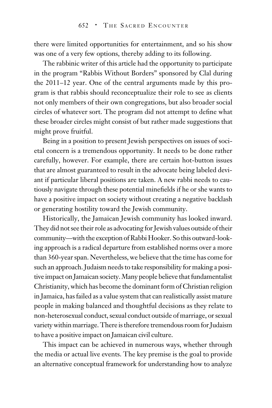there were limited opportunities for entertainment, and so his show was one of a very few options, thereby adding to its following.

The rabbinic writer of this article had the opportunity to participate in the program "Rabbis Without Borders" sponsored by Clal during the 2011–12 year. One of the central arguments made by this program is that rabbis should reconceptualize their role to see as clients not only members of their own congregations, but also broader social circles of whatever sort. The program did not attempt to define what these broader circles might consist of but rather made suggestions that might prove fruitful.

Being in a position to present Jewish perspectives on issues of societal concern is a tremendous opportunity. It needs to be done rather carefully, however. For example, there are certain hot-button issues that are almost guaranteed to result in the advocate being labeled deviant if particular liberal positions are taken. A new rabbi needs to cautiously navigate through these potential minefields if he or she wants to have a positive impact on society without creating a negative backlash or generating hostility toward the Jewish community.

Historically, the Jamaican Jewish community has looked inward. They did not see their role as advocating for Jewish values outside of their community—with the exception of Rabbi Hooker. So this outward-looking approach is a radical departure from established norms over a more than 360-year span. Nevertheless, we believe that the time has come for such an approach. Judaism needs to take responsibility for making a positive impact on Jamaican society. Many people believe that fundamentalist Christianity, which has become the dominant form of Christian religion in Jamaica, has failed as a value system that can realistically assist mature people in making balanced and thoughtful decisions as they relate to non-heterosexual conduct, sexual conduct outside of marriage, or sexual variety within marriage. There is therefore tremendous room for Judaism to have a positive impact on Jamaican civil culture.

This impact can be achieved in numerous ways, whether through the media or actual live events. The key premise is the goal to provide an alternative conceptual framework for understanding how to analyze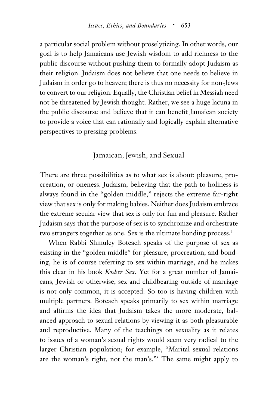a particular social problem without proselytizing. In other words, our goal is to help Jamaicans use Jewish wisdom to add richness to the public discourse without pushing them to formally adopt Judaism as their religion. Judaism does not believe that one needs to believe in Judaism in order go to heaven; there is thus no necessity for non-Jews to convert to our religion. Equally, the Christian belief in Messiah need not be threatened by Jewish thought. Rather, we see a huge lacuna in the public discourse and believe that it can benefit Jamaican society to provide a voice that can rationally and logically explain alternative perspectives to pressing problems.

#### Jamaican, Jewish, and Sexual

There are three possibilities as to what sex is about: pleasure, procreation, or oneness. Judaism, believing that the path to holiness is always found in the "golden middle," rejects the extreme far-right view that sex is only for making babies. Neither does Judaism embrace the extreme secular view that sex is only for fun and pleasure. Rather Judaism says that the purpose of sex is to synchronize and orchestrate two strangers together as one. Sex is the ultimate bonding process.<sup>7</sup>

When Rabbi Shmuley Boteach speaks of the purpose of sex as existing in the "golden middle" for pleasure, procreation, and bonding, he is of course referring to sex within marriage, and he makes this clear in his book *Kosher Sex.* Yet for a great number of Jamaicans, Jewish or otherwise, sex and childbearing outside of marriage is not only common, it is accepted. So too is having children with multiple partners. Boteach speaks primarily to sex within marriage and affirms the idea that Judaism takes the more moderate, balanced approach to sexual relations by viewing it as both pleasurable and reproductive. Many of the teachings on sexuality as it relates to issues of a woman's sexual rights would seem very radical to the larger Christian population; for example, "Marital sexual relations are the woman's right, not the man's."8 The same might apply to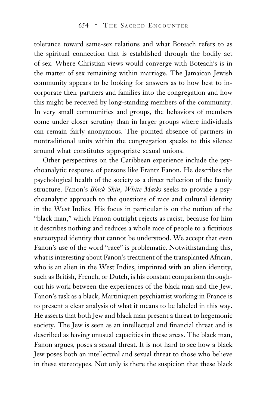tolerance toward same-sex relations and what Boteach refers to as the spiritual connection that is established through the bodily act of sex. Where Christian views would converge with Boteach's is in the matter of sex remaining within marriage. The Jamaican Jewish community appears to be looking for answers as to how best to incorporate their partners and families into the congregation and how this might be received by long-standing members of the community. In very small communities and groups, the behaviors of members come under closer scrutiny than in larger groups where individuals can remain fairly anonymous. The pointed absence of partners in nontraditional units within the congregation speaks to this silence around what constitutes appropriate sexual unions.

Other perspectives on the Caribbean experience include the psychoanalytic response of persons like Frantz Fanon. He describes the psychological health of the society as a direct reflection of the family structure. Fanon's *Black Skin, White Masks* seeks to provide a psychoanalytic approach to the questions of race and cultural identity in the West Indies. His focus in particular is on the notion of the "black man," which Fanon outright rejects as racist, because for him it describes nothing and reduces a whole race of people to a fictitious stereotyped identity that cannot be understood. We accept that even Fanon's use of the word "race" is problematic. Notwithstanding this, what is interesting about Fanon's treatment of the transplanted African, who is an alien in the West Indies, imprinted with an alien identity, such as British, French, or Dutch, is his constant comparison throughout his work between the experiences of the black man and the Jew. Fanon's task as a black, Martiniquen psychiatrist working in France is to present a clear analysis of what it means to be labeled in this way. He asserts that both Jew and black man present a threat to hegemonic society. The Jew is seen as an intellectual and financial threat and is described as having unusual capacities in these areas. The black man, Fanon argues, poses a sexual threat. It is not hard to see how a black Jew poses both an intellectual and sexual threat to those who believe in these stereotypes. Not only is there the suspicion that these black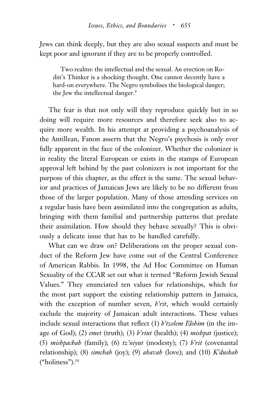Jews can think deeply, but they are also sexual suspects and must be kept poor and ignorant if they are to be properly controlled.

Two realms: the intellectual and the sexual. An erection on Rodin's Thinker is a shocking thought. One cannot decently have a hard-on everywhere. The Negro symbolises the biological danger; the Jew the intellectual danger.<sup>9</sup>

The fear is that not only will they reproduce quickly but in so doing will require more resources and therefore seek also to acquire more wealth. In his attempt at providing a psychoanalysis of the Antillean, Fanon asserts that the Negro's psychosis is only ever fully apparent in the face of the colonizer. Whether the colonizer is in reality the literal European or exists in the stamps of European approval left behind by the past colonizers is not important for the purpose of this chapter, as the effect is the same. The sexual behavior and practices of Jamaican Jews are likely to be no different from those of the larger population. Many of those attending services on a regular basis have been assimilated into the congregation as adults, bringing with them familial and partnership patterns that predate their assimilation. How should they behave sexually? This is obviously a delicate issue that has to be handled carefully.

What can we draw on? Deliberations on the proper sexual conduct of the Reform Jew have come out of the Central Conference of American Rabbis. In 1998, the Ad Hoc Committee on Human Sexuality of the CCAR set out what it termed "Reform Jewish Sexual Values." They enunciated ten values for relationships, which for the most part support the existing relationship pattern in Jamaica, with the exception of number seven, *b'rit*, which would certainly exclude the majority of Jamaican adult interactions. These values include sexual interactions that reflect (1) *b'tzelem Elohim* (in the image of God); (2) *emet* (truth); (3) *b'riut* (health); (4) *mishpat* (justice); (5) *mishpachah* (family); (6) *tz'niyut* (modesty); (7) *b'rit* (covenantal relationship); (8) *simchah* (joy); (9) *ahavah* (love); and (10) *K'dushah*  ("holiness").<sup>10</sup>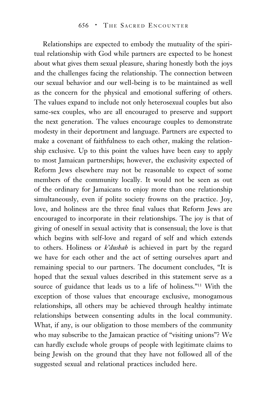Relationships are expected to embody the mutuality of the spiritual relationship with God while partners are expected to be honest about what gives them sexual pleasure, sharing honestly both the joys and the challenges facing the relationship. The connection between our sexual behavior and our well-being is to be maintained as well as the concern for the physical and emotional suffering of others. The values expand to include not only heterosexual couples but also same-sex couples, who are all encouraged to preserve and support the next generation. The values encourage couples to demonstrate modesty in their deportment and language. Partners are expected to make a covenant of faithfulness to each other, making the relationship exclusive. Up to this point the values have been easy to apply to most Jamaican partnerships; however, the exclusivity expected of Reform Jews elsewhere may not be reasonable to expect of some members of the community locally. It would not be seen as out of the ordinary for Jamaicans to enjoy more than one relationship simultaneously, even if polite society frowns on the practice. Joy, love, and holiness are the three final values that Reform Jews are encouraged to incorporate in their relationships. The joy is that of giving of oneself in sexual activity that is consensual; the love is that which begins with self-love and regard of self and which extends to others. Holiness or *k'dushah* is achieved in part by the regard we have for each other and the act of setting ourselves apart and remaining special to our partners. The document concludes, "It is hoped that the sexual values described in this statement serve as a source of guidance that leads us to a life of holiness."11 With the exception of those values that encourage exclusive, monogamous relationships, all others may be achieved through healthy intimate relationships between consenting adults in the local community. What, if any, is our obligation to those members of the community who may subscribe to the Jamaican practice of "visiting unions"? We can hardly exclude whole groups of people with legitimate claims to being Jewish on the ground that they have not followed all of the suggested sexual and relational practices included here.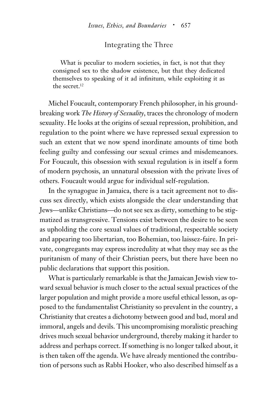### Integrating the Three

What is peculiar to modern societies, in fact, is not that they consigned sex to the shadow existence, but that they dedicated themselves to speaking of it ad infinitum, while exploiting it as the secret.12

Michel Foucault, contemporary French philosopher, in his groundbreaking work *The History of Sexuality*, traces the chronology of modern sexuality. He looks at the origins of sexual repression, prohibition, and regulation to the point where we have repressed sexual expression to such an extent that we now spend inordinate amounts of time both feeling guilty and confessing our sexual crimes and misdemeanors. For Foucault, this obsession with sexual regulation is in itself a form of modern psychosis, an unnatural obsession with the private lives of others. Foucault would argue for individual self-regulation.

In the synagogue in Jamaica, there is a tacit agreement not to discuss sex directly, which exists alongside the clear understanding that Jews—unlike Christians—do not see sex as dirty, something to be stigmatized as transgressive. Tensions exist between the desire to be seen as upholding the core sexual values of traditional, respectable society and appearing too libertarian, too Bohemian, too laissez-faire. In private, congregants may express incredulity at what they may see as the puritanism of many of their Christian peers, but there have been no public declarations that support this position.

What is particularly remarkable is that the Jamaican Jewish view toward sexual behavior is much closer to the actual sexual practices of the larger population and might provide a more useful ethical lesson, as opposed to the fundamentalist Christianity so prevalent in the country, a Christianity that creates a dichotomy between good and bad, moral and immoral, angels and devils. This uncompromising moralistic preaching drives much sexual behavior underground, thereby making it harder to address and perhaps correct. If something is no longer talked about, it is then taken off the agenda. We have already mentioned the contribution of persons such as Rabbi Hooker, who also described himself as a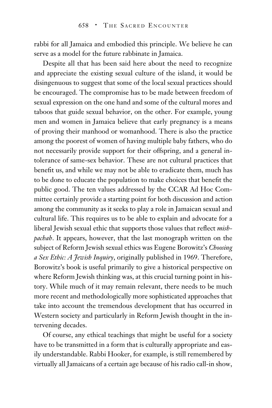rabbi for all Jamaica and embodied this principle. We believe he can serve as a model for the future rabbinate in Jamaica.

Despite all that has been said here about the need to recognize and appreciate the existing sexual culture of the island, it would be disingenuous to suggest that some of the local sexual practices should be encouraged. The compromise has to be made between freedom of sexual expression on the one hand and some of the cultural mores and taboos that guide sexual behavior, on the other. For example, young men and women in Jamaica believe that early pregnancy is a means of proving their manhood or womanhood. There is also the practice among the poorest of women of having multiple baby fathers, who do not necessarily provide support for their offspring, and a general intolerance of same-sex behavior. These are not cultural practices that benefit us, and while we may not be able to eradicate them, much has to be done to educate the population to make choices that benefit the public good. The ten values addressed by the CCAR Ad Hoc Committee certainly provide a starting point for both discussion and action among the community as it seeks to play a role in Jamaican sexual and cultural life. This requires us to be able to explain and advocate for a liberal Jewish sexual ethic that supports those values that reflect *mishpachah*. It appears, however, that the last monograph written on the subject of Reform Jewish sexual ethics was Eugene Borowitz's *Choosing a Sex Ethic: A Jewish Inquiry*, originally published in 1969. Therefore, Borowitz's book is useful primarily to give a historical perspective on where Reform Jewish thinking was, at this crucial turning point in history. While much of it may remain relevant, there needs to be much more recent and methodologically more sophisticated approaches that take into account the tremendous development that has occurred in Western society and particularly in Reform Jewish thought in the intervening decades.

Of course, any ethical teachings that might be useful for a society have to be transmitted in a form that is culturally appropriate and easily understandable. Rabbi Hooker, for example, is still remembered by virtually all Jamaicans of a certain age because of his radio call-in show,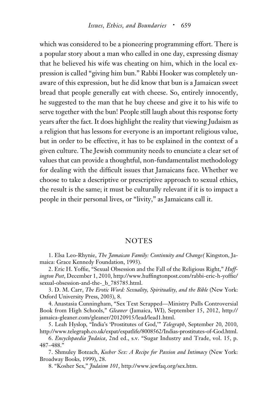which was considered to be a pioneering programming effort. There is a popular story about a man who called in one day, expressing dismay that he believed his wife was cheating on him, which in the local expression is called "giving him bun." Rabbi Hooker was completely unaware of this expression, but he did know that bun is a Jamaican sweet bread that people generally eat with cheese. So, entirely innocently, he suggested to the man that he buy cheese and give it to his wife to serve together with the bun! People still laugh about this response forty years after the fact. It does highlight the reality that viewing Judaism as a religion that has lessons for everyone is an important religious value, but in order to be effective, it has to be explained in the context of a given culture. The Jewish community needs to enunciate a clear set of values that can provide a thoughtful, non-fundamentalist methodology for dealing with the difficult issues that Jamaicans face. Whether we choose to take a descriptive or prescriptive approach to sexual ethics, the result is the same; it must be culturally relevant if it is to impact a people in their personal lives, or "livity," as Jamaicans call it.

#### **NOTES**

1. Elsa Leo-Rhynie, *The Jamaican Family: Continuity and Change(* Kingston, Jamaica: Grace Kennedy Foundation, 1993).

2. Eric H. Yoffie, "Sexual Obsession and the Fall of the Religious Right," *Huffington Post*, December 1, 2010, http://www.huffingtonpost.com/rabbi-eric-h-yoffie/ sexual-obsession-and-the-\_b\_785785.html.

3. D. M. Carr, *The Erotic Word: Sexuality, Spirituality, and the Bible* (New York: Oxford University Press, 2003), 8.

4. Anastasia Cunningham, "Sex Text Scrapped—Ministry Pulls Controversial Book from High Schools," *Gleaner* (Jamaica, WI), September 15, 2012, http:// jamaica-gleaner.com/gleaner/20120915/lead/lead1.html.

5. Leah Hyslop, "India's 'Prostitutes of God,'" *Telegraph*, September 20, 2010, http://www.telegraph.co.uk/expat/expatlife/8008562/Indias-prostitutes-of-God.html.

6. *Encyclopaedia Judaica*, 2nd ed., s.v. "Sugar Industry and Trade, vol. 15, p. 487–488."

7. Shmuley Boteach, *Kosher Sex: A Recipe for Passion and Intimacy* (New York: Broadway Books, 1999), 28.

8. "Kosher Sex," *Judaism 101*, http://www.jewfaq.org/sex.htm.